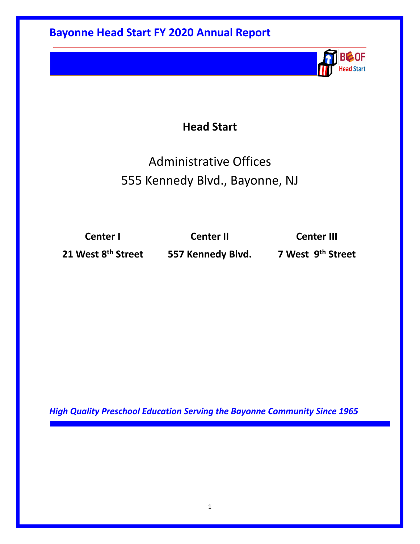## **Head Start**

# Administrative Offices 555 Kennedy Blvd., Bayonne, NJ

**Center I Center II Center III**

**21 West 8th Street 557 Kennedy Blvd. 7 West 9th Street**

**BC-OF Head Start** 

*High Quality Preschool Education Serving the Bayonne Community Since 1965*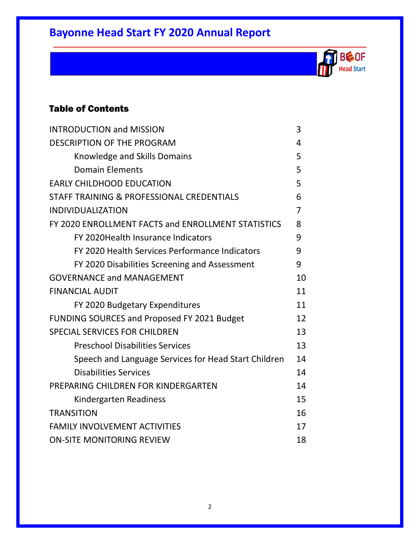**BCOF Head Start** 

### Table of Contents

| <b>INTRODUCTION and MISSION</b>                      | 3  |
|------------------------------------------------------|----|
| <b>DESCRIPTION OF THE PROGRAM</b>                    | 4  |
| Knowledge and Skills Domains                         | 5  |
| <b>Domain Elements</b>                               | 5  |
| <b>EARLY CHILDHOOD EDUCATION</b>                     | 5  |
| STAFF TRAINING & PROFESSIONAL CREDENTIALS            | 6  |
| <b>INDIVIDUALIZATION</b>                             | 7  |
| FY 2020 ENROLLMENT FACTS and ENROLLMENT STATISTICS   | 8  |
| FY 2020 Health Insurance Indicators                  | 9  |
| FY 2020 Health Services Performance Indicators       | 9  |
| FY 2020 Disabilities Screening and Assessment        | 9  |
| <b>GOVERNANCE and MANAGEMENT</b>                     | 10 |
| <b>FINANCIAL AUDIT</b>                               | 11 |
| FY 2020 Budgetary Expenditures                       | 11 |
| FUNDING SOURCES and Proposed FY 2021 Budget          | 12 |
| SPECIAL SERVICES FOR CHILDREN                        | 13 |
| <b>Preschool Disabilities Services</b>               | 13 |
| Speech and Language Services for Head Start Children | 14 |
| <b>Disabilities Services</b>                         | 14 |
| PREPARING CHILDREN FOR KINDERGARTEN                  | 14 |
| Kindergarten Readiness                               | 15 |
| <b>TRANSITION</b>                                    | 16 |
| <b>FAMILY INVOLVEMENT ACTIVITIES</b>                 | 17 |
| <b>ON-SITE MONITORING REVIEW</b>                     | 18 |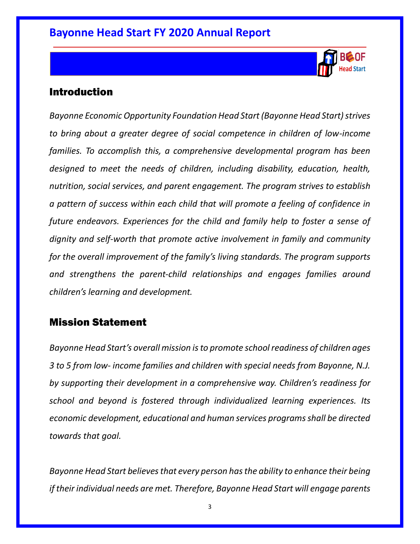

### Introduction

*Bayonne Economic Opportunity Foundation Head Start (Bayonne Head Start) strives to bring about a greater degree of social competence in children of low-income families. To accomplish this, a comprehensive developmental program has been designed to meet the needs of children, including disability, education, health, nutrition, social services, and parent engagement. The program strives to establish a pattern of success within each child that will promote a feeling of confidence in future endeavors. Experiences for the child and family help to foster a sense of dignity and self-worth that promote active involvement in family and community for the overall improvement of the family's living standards. The program supports and strengthens the parent-child relationships and engages families around children's learning and development.* 

### Mission Statement

*Bayonne Head Start's overall mission is to promote school readiness of children ages 3 to 5 from low- income families and children with special needs from Bayonne, N.J. by supporting their development in a comprehensive way. Children's readiness for school and beyond is fostered through individualized learning experiences. Its economic development, educational and human services programs shall be directed towards that goal.*

*Bayonne Head Start believes that every person has the ability to enhance their being if their individual needs are met. Therefore, Bayonne Head Start will engage parents*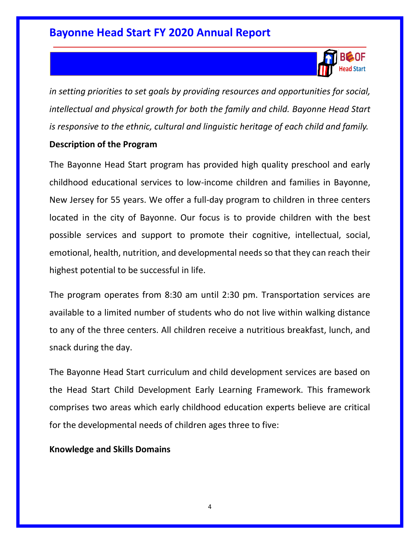

*in setting priorities to set goals by providing resources and opportunities for social, intellectual and physical growth for both the family and child. Bayonne Head Start is responsive to the ethnic, cultural and linguistic heritage of each child and family.*

#### **Description of the Program**

The Bayonne Head Start program has provided high quality preschool and early childhood educational services to low-income children and families in Bayonne, New Jersey for 55 years. We offer a full-day program to children in three centers located in the city of Bayonne. Our focus is to provide children with the best possible services and support to promote their cognitive, intellectual, social, emotional, health, nutrition, and developmental needs so that they can reach their highest potential to be successful in life.

The program operates from 8:30 am until 2:30 pm. Transportation services are available to a limited number of students who do not live within walking distance to any of the three centers. All children receive a nutritious breakfast, lunch, and snack during the day.

The Bayonne Head Start curriculum and child development services are based on the Head Start Child Development Early Learning Framework. This framework comprises two areas which early childhood education experts believe are critical for the developmental needs of children ages three to five:

#### **Knowledge and Skills Domains**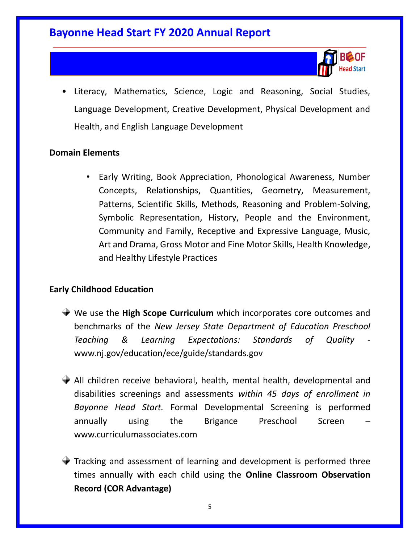

• Literacy, Mathematics, Science, Logic and Reasoning, Social Studies, Language Development, Creative Development, Physical Development and Health, and English Language Development

#### **Domain Elements**

• Early Writing, Book Appreciation, Phonological Awareness, Number Concepts, Relationships, Quantities, Geometry, Measurement, Patterns, Scientific Skills, Methods, Reasoning and Problem-Solving, Symbolic Representation, History, People and the Environment, Community and Family, Receptive and Expressive Language, Music, Art and Drama, Gross Motor and Fine Motor Skills, Health Knowledge, and Healthy Lifestyle Practices

#### **Early Childhood Education**

- We use the **High Scope Curriculum** which incorporates core outcomes and benchmarks of the *New Jersey State Department of Education Preschool Teaching & Learning Expectations: Standards of Quality*  www.nj.gov/education/ece/guide/standards.gov
- All children receive behavioral, health, mental health, developmental and disabilities screenings and assessments *within 45 days of enrollment in Bayonne Head Start.* Formal Developmental Screening is performed annually using the Brigance Preschool Screen – www.curriculumassociates.com
- $\blacktriangleright$  Tracking and assessment of learning and development is performed three times annually with each child using the **Online Classroom Observation Record (COR Advantage)**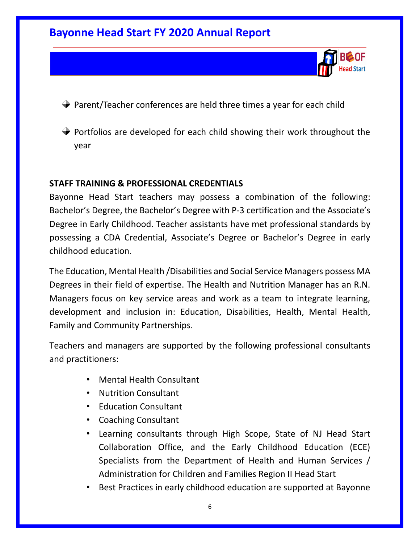

- $\blacktriangleright$  Parent/Teacher conferences are held three times a year for each child
- $\rightarrow$  Portfolios are developed for each child showing their work throughout the year

#### **STAFF TRAINING & PROFESSIONAL CREDENTIALS**

Bayonne Head Start teachers may possess a combination of the following: Bachelor's Degree, the Bachelor's Degree with P-3 certification and the Associate's Degree in Early Childhood. Teacher assistants have met professional standards by possessing a CDA Credential, Associate's Degree or Bachelor's Degree in early childhood education.

The Education, Mental Health /Disabilities and Social Service Managers possess MA Degrees in their field of expertise. The Health and Nutrition Manager has an R.N. Managers focus on key service areas and work as a team to integrate learning, development and inclusion in: Education, Disabilities, Health, Mental Health, Family and Community Partnerships.

Teachers and managers are supported by the following professional consultants and practitioners:

- Mental Health Consultant
- Nutrition Consultant
- Education Consultant
- Coaching Consultant
- Learning consultants through High Scope, State of NJ Head Start Collaboration Office, and the Early Childhood Education (ECE) Specialists from the Department of Health and Human Services / Administration for Children and Families Region II Head Start
- Best Practices in early childhood education are supported at Bayonne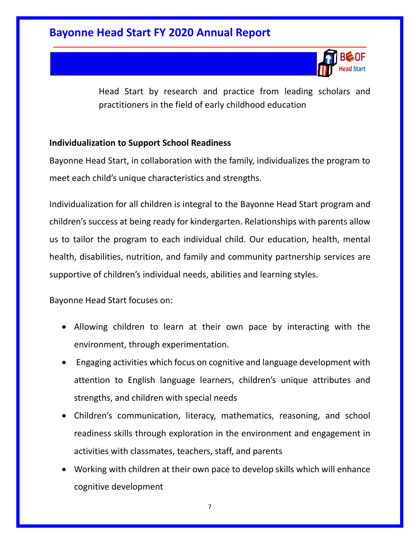

Head Start by research and practice from leading scholars and practitioners in the field of early childhood education

#### **Individualization to Support School Readiness**

Bayonne Head Start, in collaboration with the family, individualizes the program to meet each child's unique characteristics and strengths.

Individualization for all children is integral to the Bayonne Head Start program and children's success at being ready for kindergarten. Relationships with parents allow us to tailor the program to each individual child. Our education, health, mental health, disabilities, nutrition, and family and community partnership services are supportive of children's individual needs, abilities and learning styles.

Bayonne Head Start focuses on:

- Allowing children to learn at their own pace by interacting with the environment, through experimentation.
- Engaging activities which focus on cognitive and language development with attention to English language learners, children's unique attributes and strengths, and children with special needs
- Children's communication, literacy, mathematics, reasoning, and school readiness skills through exploration in the environment and engagement in activities with classmates, teachers, staff, and parents
- Working with children at their own pace to develop skills which will enhance cognitive development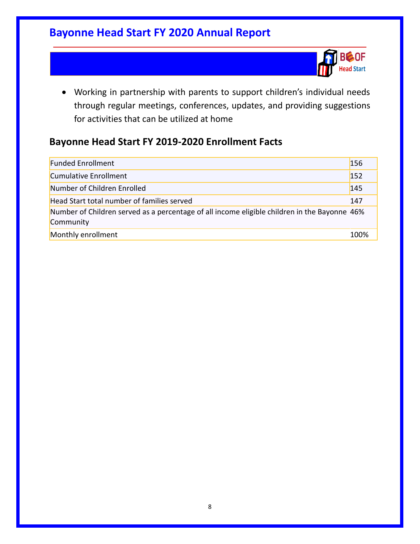

• Working in partnership with parents to support children's individual needs through regular meetings, conferences, updates, and providing suggestions for activities that can be utilized at home

### **Bayonne Head Start FY 2019-2020 Enrollment Facts**

| <b>Funded Enrollment</b>                                                                                  | 156  |
|-----------------------------------------------------------------------------------------------------------|------|
| Cumulative Enrollment                                                                                     | 152  |
| Number of Children Enrolled                                                                               | 145  |
| Head Start total number of families served                                                                | 147  |
| Number of Children served as a percentage of all income eligible children in the Bayonne 46%<br>Community |      |
| Monthly enrollment                                                                                        | 100% |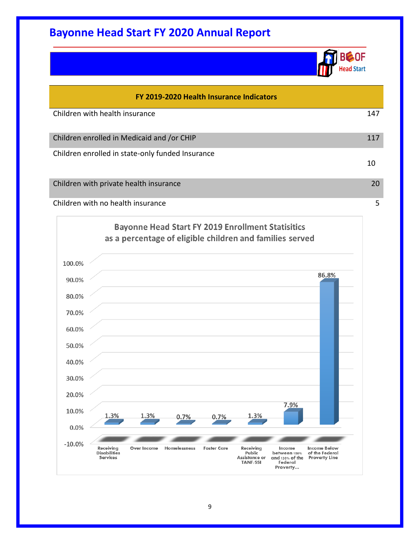

| FY 2019-2020 Health Insurance Indicators         |     |  |
|--------------------------------------------------|-----|--|
| Children with health insurance                   | 147 |  |
| Children enrolled in Medicaid and /or CHIP       | 117 |  |
| Children enrolled in state-only funded Insurance |     |  |
|                                                  | 10  |  |
| Children with private health insurance           | 20  |  |
| Children with no health insurance                | 5   |  |
|                                                  |     |  |

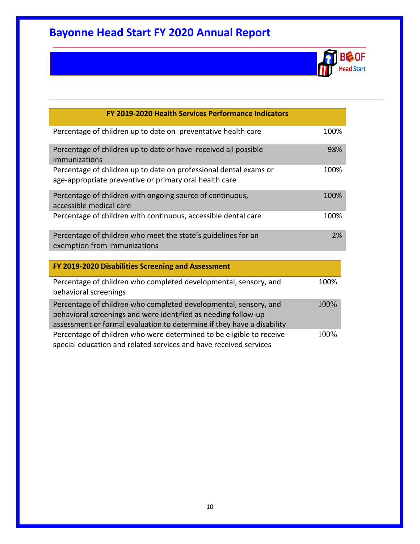

| FY 2019-2020 Health Services Performance Indicators                                                                                                                                                          |      |
|--------------------------------------------------------------------------------------------------------------------------------------------------------------------------------------------------------------|------|
| Percentage of children up to date on preventative health care                                                                                                                                                | 100% |
| Percentage of children up to date or have received all possible<br>immunizations                                                                                                                             | 98%  |
| Percentage of children up to date on professional dental exams or<br>age-appropriate preventive or primary oral health care                                                                                  | 100% |
| Percentage of children with ongoing source of continuous,<br>accessible medical care                                                                                                                         | 100% |
| Percentage of children with continuous, accessible dental care                                                                                                                                               | 100% |
| Percentage of children who meet the state's guidelines for an<br>exemption from immunizations                                                                                                                | 2%   |
| FY 2019-2020 Disabilities Screening and Assessment                                                                                                                                                           |      |
| Percentage of children who completed developmental, sensory, and<br>behavioral screenings                                                                                                                    | 100% |
| Percentage of children who completed developmental, sensory, and<br>behavioral screenings and were identified as needing follow-up<br>assessment or formal evaluation to determine if they have a disability | 100% |
| Percentage of children who were determined to be eligible to receive<br>special education and related services and have received services                                                                    | 100% |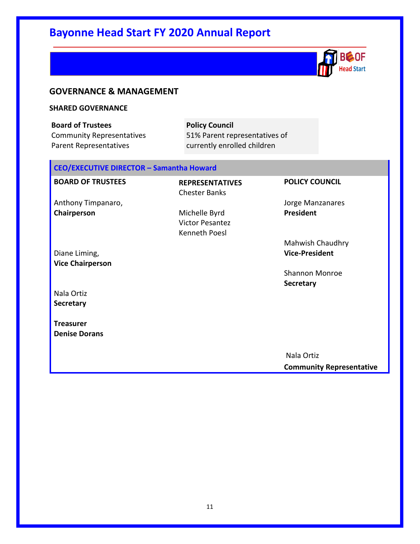

#### **GOVERNANCE & MANAGEMENT**

#### **SHARED GOVERNANCE**

**Board of Trustees** Community Representatives Parent Representatives

**Policy Council** 51% Parent representatives of currently enrolled children

#### **CEO/EXECUTIVE DIRECTOR – Samantha Howard**

| <b>REPRESENTATIVES</b> | <b>POLICY COUNCIL</b>           |
|------------------------|---------------------------------|
| <b>Chester Banks</b>   |                                 |
|                        | Jorge Manzanares                |
| Michelle Byrd          | President                       |
| <b>Victor Pesantez</b> |                                 |
| Kenneth Poesl          |                                 |
|                        | Mahwish Chaudhry                |
|                        | <b>Vice-President</b>           |
|                        |                                 |
|                        | <b>Shannon Monroe</b>           |
|                        | <b>Secretary</b>                |
|                        |                                 |
|                        |                                 |
|                        |                                 |
|                        |                                 |
|                        |                                 |
|                        |                                 |
|                        | Nala Ortiz                      |
|                        | <b>Community Representative</b> |
|                        |                                 |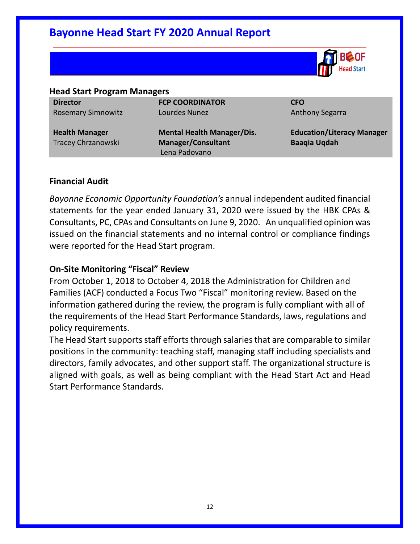

#### **Head Start Program Managers**

**Director** Rosemary Simnowitz

**Health Manager**  Tracey Chrzanowski **FCP COORDINATOR**  Lourdes Nunez

**Mental Health Manager/Dis. Manager/Consultant** Lena Padovano

**CFO** Anthony Segarra

**Education/Literacy Manager Baaqia Uqdah**

#### **Financial Audit**

*Bayonne Economic Opportunity Foundation's* annual independent audited financial statements for the year ended January 31, 2020 were issued by the HBK CPAs & Consultants, PC, CPAs and Consultants on June 9, 2020. An unqualified opinion was issued on the financial statements and no internal control or compliance findings were reported for the Head Start program.

#### **On-Site Monitoring "Fiscal" Review**

From October 1, 2018 to October 4, 2018 the Administration for Children and Families (ACF) conducted a Focus Two "Fiscal" monitoring review. Based on the information gathered during the review, the program is fully compliant with all of the requirements of the Head Start Performance Standards, laws, regulations and policy requirements.

The Head Start supports staff efforts through salaries that are comparable to similar positions in the community: teaching staff, managing staff including specialists and directors, family advocates, and other support staff. The organizational structure is aligned with goals, as well as being compliant with the Head Start Act and Head Start Performance Standards.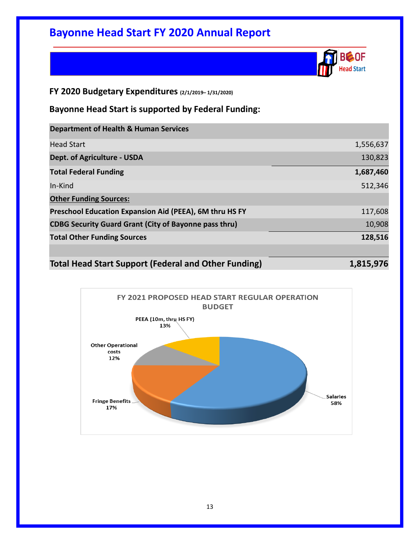

#### **FY 2020 Budgetary Expenditures (2/1/2019– 1/31/2020)**

**Bayonne Head Start is supported by Federal Funding:**

| <b>Department of Health &amp; Human Services</b>             |           |
|--------------------------------------------------------------|-----------|
| <b>Head Start</b>                                            | 1,556,637 |
| <b>Dept. of Agriculture - USDA</b>                           | 130,823   |
| <b>Total Federal Funding</b>                                 | 1,687,460 |
| In-Kind                                                      | 512,346   |
| <b>Other Funding Sources:</b>                                |           |
| Preschool Education Expansion Aid (PEEA), 6M thru HS FY      | 117,608   |
| <b>CDBG Security Guard Grant (City of Bayonne pass thru)</b> | 10,908    |
| <b>Total Other Funding Sources</b>                           | 128,516   |
|                                                              |           |
|                                                              |           |

| <b>Total Head Start Support (Federal and Other Funding)</b> | 1,815,976 |
|-------------------------------------------------------------|-----------|
|-------------------------------------------------------------|-----------|

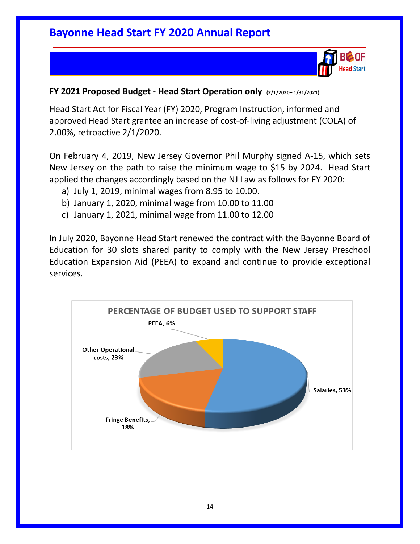

#### **FY 2021 Proposed Budget - Head Start Operation only (2/1/2020– 1/31/2021)**

Head Start Act for Fiscal Year (FY) 2020, Program Instruction, informed and approved Head Start grantee an increase of cost-of-living adjustment (COLA) of 2.00%, retroactive 2/1/2020.

On February 4, 2019, New Jersey Governor Phil Murphy signed A-15, which sets New Jersey on the path to raise the minimum wage to \$15 by 2024. Head Start applied the changes accordingly based on the NJ Law as follows for FY 2020:

- a) July 1, 2019, minimal wages from 8.95 to 10.00.
- b) January 1, 2020, minimal wage from 10.00 to 11.00
- c) January 1, 2021, minimal wage from 11.00 to 12.00

In July 2020, Bayonne Head Start renewed the contract with the Bayonne Board of Education for 30 slots shared parity to comply with the New Jersey Preschool Education Expansion Aid (PEEA) to expand and continue to provide exceptional services.

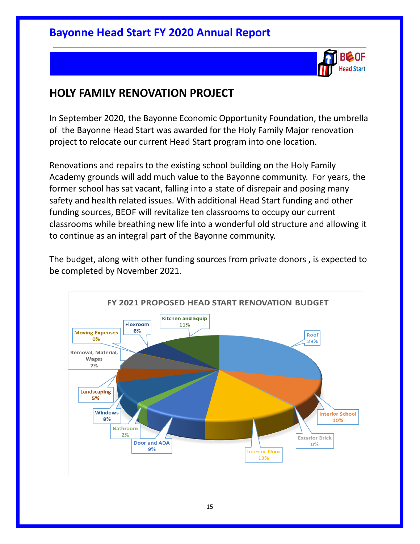

### **HOLY FAMILY RENOVATION PROJECT**

In September 2020, the Bayonne Economic Opportunity Foundation, the umbrella of the Bayonne Head Start was awarded for the Holy Family Major renovation project to relocate our current Head Start program into one location.

Renovations and repairs to the existing school building on the Holy Family Academy grounds will add much value to the Bayonne community. For years, the former school has sat vacant, falling into a state of disrepair and posing many safety and health related issues. With additional Head Start funding and other funding sources, BEOF will revitalize ten classrooms to occupy our current classrooms while breathing new life into a wonderful old structure and allowing it to continue as an integral part of the Bayonne community.

The budget, along with other funding sources from private donors , is expected to be completed by November 2021.

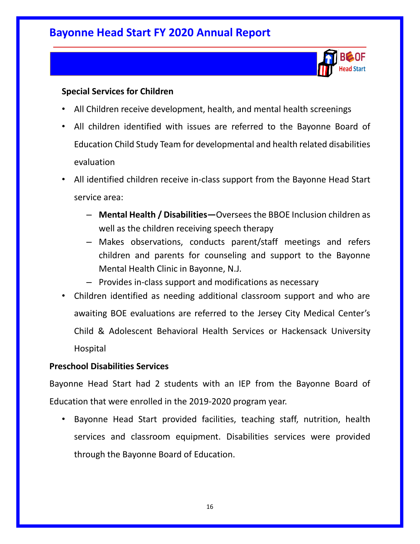

#### **Special Services for Children**

- All Children receive development, health, and mental health screenings
- All children identified with issues are referred to the Bayonne Board of Education Child Study Team for developmental and health related disabilities evaluation
- All identified children receive in-class support from the Bayonne Head Start service area:
	- **Mental Health / Disabilities—**Oversees the BBOE Inclusion children as well as the children receiving speech therapy
	- Makes observations, conducts parent/staff meetings and refers children and parents for counseling and support to the Bayonne Mental Health Clinic in Bayonne, N.J.
	- Provides in-class support and modifications as necessary
- Children identified as needing additional classroom support and who are awaiting BOE evaluations are referred to the Jersey City Medical Center's Child & Adolescent Behavioral Health Services or Hackensack University Hospital

#### **Preschool Disabilities Services**

Bayonne Head Start had 2 students with an IEP from the Bayonne Board of Education that were enrolled in the 2019-2020 program year.

• Bayonne Head Start provided facilities, teaching staff, nutrition, health services and classroom equipment. Disabilities services were provided through the Bayonne Board of Education.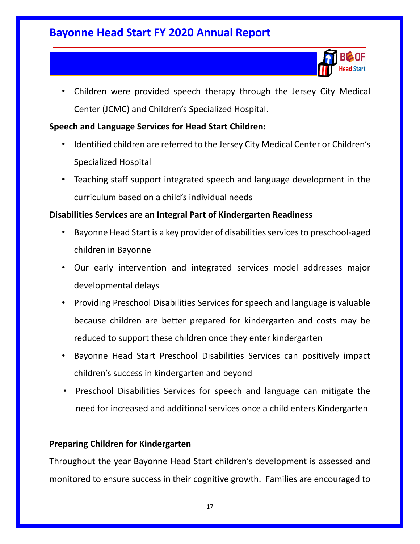

• Children were provided speech therapy through the Jersey City Medical Center (JCMC) and Children's Specialized Hospital.

#### **Speech and Language Services for Head Start Children:**

- Identified children are referred to the Jersey City Medical Center or Children's Specialized Hospital
- Teaching staff support integrated speech and language development in the curriculum based on a child's individual needs

#### **Disabilities Services are an Integral Part of Kindergarten Readiness**

- Bayonne Head Start is a key provider of disabilities services to preschool-aged children in Bayonne
- Our early intervention and integrated services model addresses major developmental delays
- Providing Preschool Disabilities Services for speech and language is valuable because children are better prepared for kindergarten and costs may be reduced to support these children once they enter kindergarten
- Bayonne Head Start Preschool Disabilities Services can positively impact children's success in kindergarten and beyond
- Preschool Disabilities Services for speech and language can mitigate the need for increased and additional services once a child enters Kindergarten

#### **Preparing Children for Kindergarten**

Throughout the year Bayonne Head Start children's development is assessed and monitored to ensure success in their cognitive growth. Families are encouraged to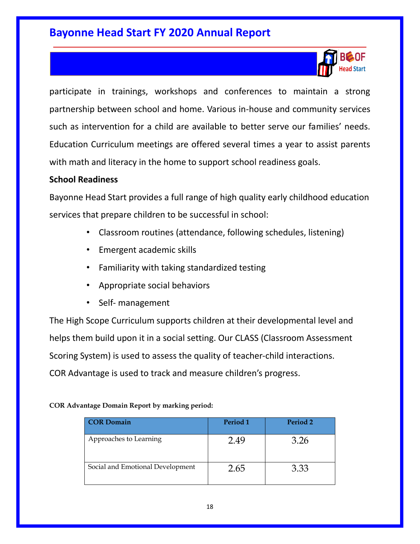

participate in trainings, workshops and conferences to maintain a strong partnership between school and home. Various in-house and community services such as intervention for a child are available to better serve our families' needs. Education Curriculum meetings are offered several times a year to assist parents with math and literacy in the home to support school readiness goals.

#### **School Readiness**

Bayonne Head Start provides a full range of high quality early childhood education services that prepare children to be successful in school:

- Classroom routines (attendance, following schedules, listening)
- Emergent academic skills
- Familiarity with taking standardized testing
- Appropriate social behaviors
- Self- management

The High Scope Curriculum supports children at their developmental level and helps them build upon it in a social setting. Our CLASS (Classroom Assessment Scoring System) is used to assess the quality of teacher-child interactions. COR Advantage is used to track and measure children's progress.

**COR Advantage Domain Report by marking period:** 

| <b>COR Domain</b>                | Period 1 | Period 2 |
|----------------------------------|----------|----------|
| Approaches to Learning           | 2.49     | 3.26     |
| Social and Emotional Development | 2.65     | 3.33     |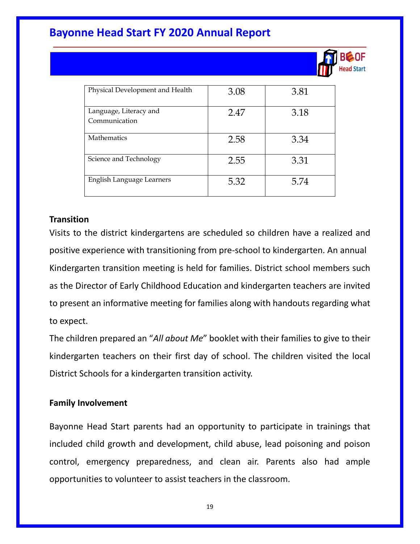

| Physical Development and Health         | 3.08 | 3.81 |
|-----------------------------------------|------|------|
| Language, Literacy and<br>Communication | 2.47 | 3.18 |
| <b>Mathematics</b>                      | 2.58 | 3.34 |
| Science and Technology                  | 2.55 | 3.31 |
| English Language Learners               | 5.32 | 5.74 |

#### **Transition**

Visits to the district kindergartens are scheduled so children have a realized and positive experience with transitioning from pre-school to kindergarten. An annual Kindergarten transition meeting is held for families. District school members such as the Director of Early Childhood Education and kindergarten teachers are invited to present an informative meeting for families along with handouts regarding what to expect.

The children prepared an "*All about Me*" booklet with their families to give to their kindergarten teachers on their first day of school. The children visited the local District Schools for a kindergarten transition activity.

#### **Family Involvement**

Bayonne Head Start parents had an opportunity to participate in trainings that included child growth and development, child abuse, lead poisoning and poison control, emergency preparedness, and clean air. Parents also had ample opportunities to volunteer to assist teachers in the classroom.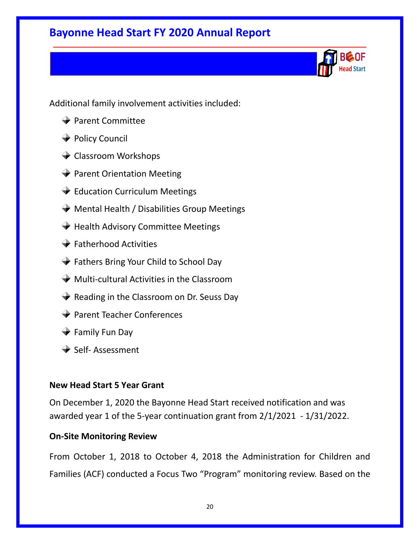ad Start

Additional family involvement activities included:

- **→ Parent Committee**
- **→** Policy Council
- **← Classroom Workshops**
- **→ Parent Orientation Meeting**
- **Education Curriculum Meetings**
- $\rightarrow$  Mental Health / Disabilities Group Meetings
- $\rightarrow$  Health Advisory Committee Meetings
- $\rightarrow$  Fatherhood Activities
- **→** Fathers Bring Your Child to School Day
- $\rightarrow$  Multi-cultural Activities in the Classroom
- $\blacktriangleright$  Reading in the Classroom on Dr. Seuss Day
- **→ Parent Teacher Conferences**
- **→** Family Fun Day
- $\rightarrow$  Self- Assessment

#### **New Head Start 5 Year Grant**

On December 1, 2020 the Bayonne Head Start received notification and was awarded year 1 of the 5-year continuation grant from 2/1/2021 - 1/31/2022.

#### **On-Site Monitoring Review**

From October 1, 2018 to October 4, 2018 the Administration for Children and Families (ACF) conducted a Focus Two "Program" monitoring review. Based on the